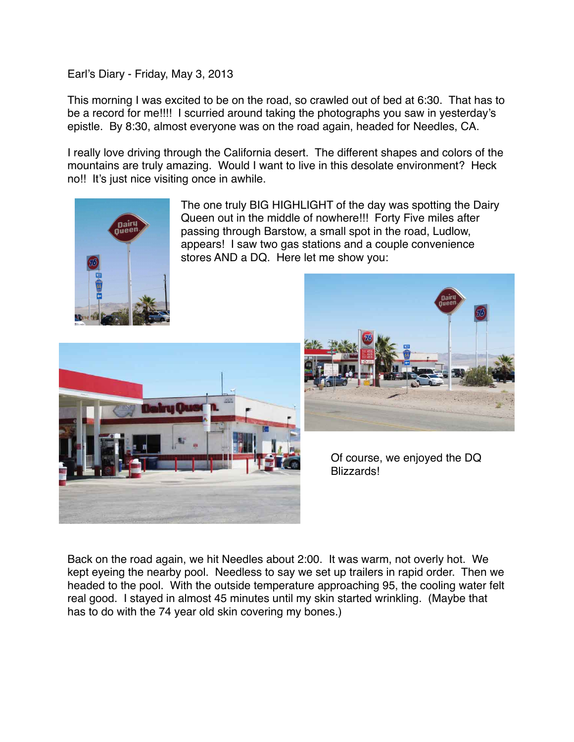Earl's Diary - Friday, May 3, 2013

This morning I was excited to be on the road, so crawled out of bed at 6:30. That has to be a record for me!!!! I scurried around taking the photographs you saw in yesterday's epistle. By 8:30, almost everyone was on the road again, headed for Needles, CA.

I really love driving through the California desert. The different shapes and colors of the mountains are truly amazing. Would I want to live in this desolate environment? Heck no!! It's just nice visiting once in awhile.



The one truly BIG HIGHLIGHT of the day was spotting the Dairy Queen out in the middle of nowhere!!! Forty Five miles after passing through Barstow, a small spot in the road, Ludlow, appears! I saw two gas stations and a couple convenience stores AND a DQ. Here let me show you:





Of course, we enjoyed the DQ Blizzards!

Back on the road again, we hit Needles about 2:00. It was warm, not overly hot. We kept eyeing the nearby pool. Needless to say we set up trailers in rapid order. Then we headed to the pool. With the outside temperature approaching 95, the cooling water felt real good. I stayed in almost 45 minutes until my skin started wrinkling. (Maybe that has to do with the 74 year old skin covering my bones.)